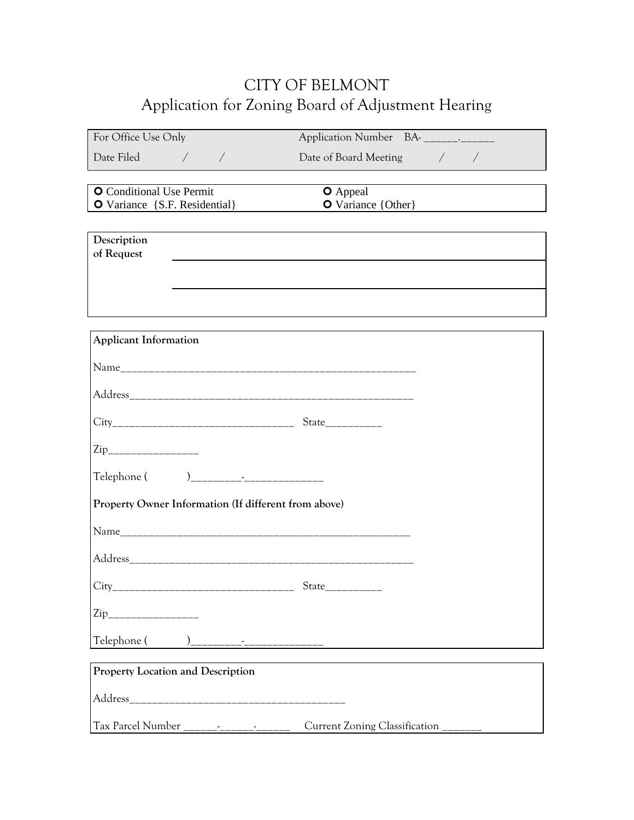## CITY OF BELMONT Application for Zoning Board of Adjustment Hearing

| For Office Use Only                                              | Application Number BA-   ______________                                                                              |  |
|------------------------------------------------------------------|----------------------------------------------------------------------------------------------------------------------|--|
| Date Filed<br>$\bigg)$                                           | Date of Board Meeting / /                                                                                            |  |
| <b>O</b> Conditional Use Permit<br>O Variance {S.F. Residential} | <b>O</b> Appeal<br>O Variance {Other}                                                                                |  |
| Description<br>of Request                                        |                                                                                                                      |  |
|                                                                  |                                                                                                                      |  |
| <b>Applicant Information</b>                                     | ,我们也不会有什么。""我们的人,我们也不会有什么?""我们的人,我们也不会有什么?""我们的人,我们也不会有什么?""我们的人,我们也不会有什么?""我们的人                                     |  |
|                                                                  |                                                                                                                      |  |
|                                                                  |                                                                                                                      |  |
|                                                                  |                                                                                                                      |  |
| $\mathrm{Zip}_{\_}$                                              |                                                                                                                      |  |
|                                                                  |                                                                                                                      |  |
| Property Owner Information (If different from above)             |                                                                                                                      |  |
|                                                                  |                                                                                                                      |  |
|                                                                  |                                                                                                                      |  |
|                                                                  |                                                                                                                      |  |
| $\mathrm{Zip}_{\_}$                                              |                                                                                                                      |  |
| Telephone (                                                      | <u> 1990 - Jan Stein Stein Stein Stein Stein Stein Stein Stein Stein Stein Stein Stein Stein Stein Stein Stein S</u> |  |
| <b>Property Location and Description</b>                         |                                                                                                                      |  |
|                                                                  |                                                                                                                      |  |
| Tax Parcel Number                                                | Current Zoning Classification                                                                                        |  |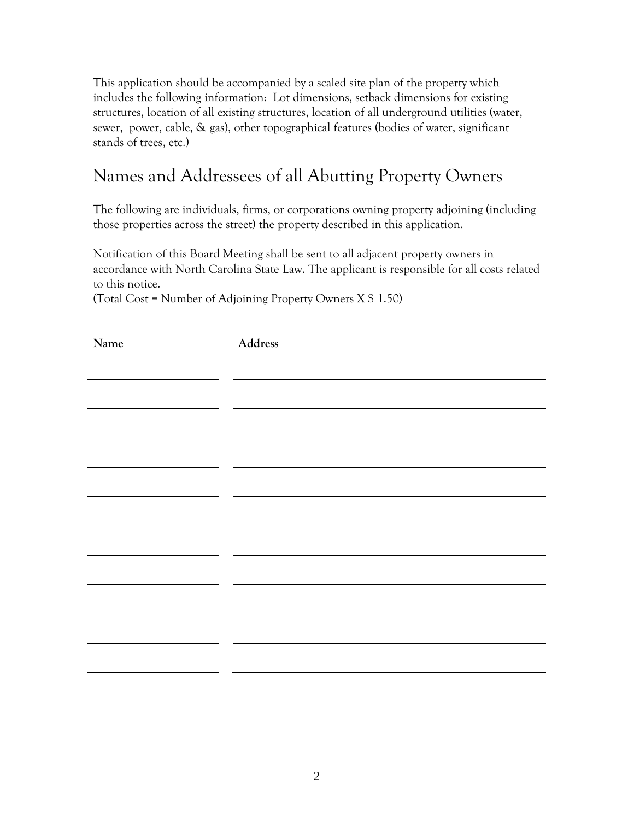This application should be accompanied by a scaled site plan of the property which includes the following information: Lot dimensions, setback dimensions for existing structures, location of all existing structures, location of all underground utilities (water, sewer, power, cable, & gas), other topographical features (bodies of water, significant stands of trees, etc.)

## Names and Addressees of all Abutting Property Owners

The following are individuals, firms, or corporations owning property adjoining (including those properties across the street) the property described in this application.

Notification of this Board Meeting shall be sent to all adjacent property owners in accordance with North Carolina State Law. The applicant is responsible for all costs related to this notice.

(Total Cost = Number of Adjoining Property Owners X \$ 1.50)

| Name | $\label{p:1} Address$ |
|------|-----------------------|
|      |                       |
|      |                       |
|      |                       |
|      |                       |
|      |                       |
|      |                       |
|      |                       |
|      |                       |
|      |                       |
|      |                       |
|      |                       |
|      |                       |
|      |                       |
|      |                       |
|      |                       |
|      |                       |
|      |                       |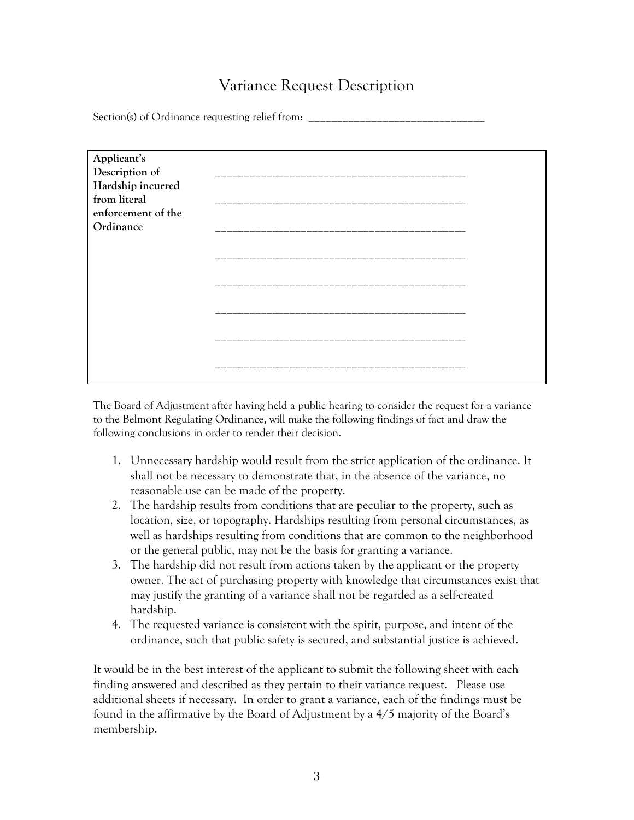### Variance Request Description

Section(s) of Ordinance requesting relief from:

| Applicant's        |  |
|--------------------|--|
| Description of     |  |
| Hardship incurred  |  |
| from literal       |  |
| enforcement of the |  |
| Ordinance          |  |
|                    |  |
|                    |  |
|                    |  |
|                    |  |
|                    |  |
|                    |  |
|                    |  |
|                    |  |
|                    |  |
|                    |  |
|                    |  |
|                    |  |

The Board of Adjustment after having held a public hearing to consider the request for a variance to the Belmont Regulating Ordinance, will make the following findings of fact and draw the following conclusions in order to render their decision.

- 1. Unnecessary hardship would result from the strict application of the ordinance. It shall not be necessary to demonstrate that, in the absence of the variance, no reasonable use can be made of the property.
- 2. The hardship results from conditions that are peculiar to the property, such as location, size, or topography. Hardships resulting from personal circumstances, as well as hardships resulting from conditions that are common to the neighborhood or the general public, may not be the basis for granting a variance.
- 3. The hardship did not result from actions taken by the applicant or the property owner. The act of purchasing property with knowledge that circumstances exist that may justify the granting of a variance shall not be regarded as a self-created hardship.
- 4. The requested variance is consistent with the spirit, purpose, and intent of the ordinance, such that public safety is secured, and substantial justice is achieved.

It would be in the best interest of the applicant to submit the following sheet with each finding answered and described as they pertain to their variance request. Please use additional sheets if necessary. In order to grant a variance, each of the findings must be found in the affirmative by the Board of Adjustment by a 4/5 majority of the Board's membership.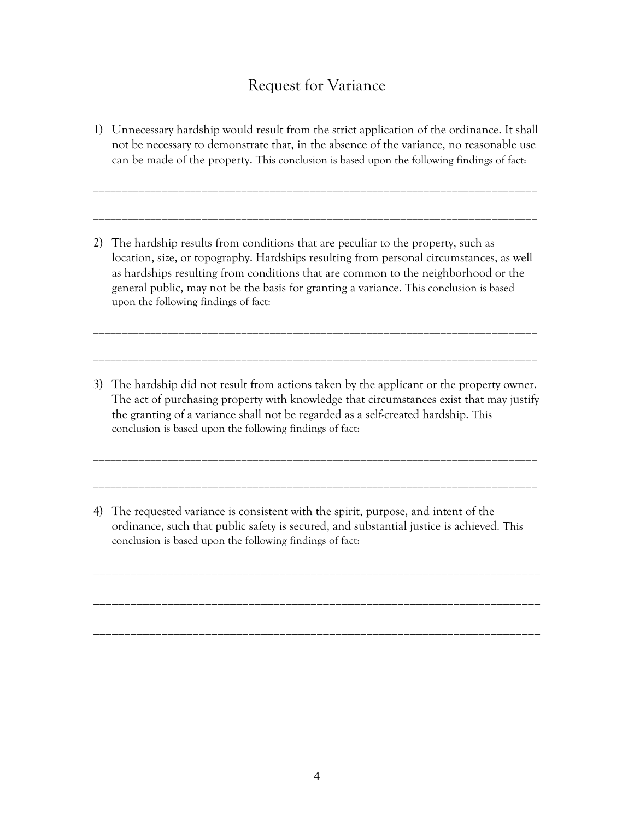#### Request for Variance

1) Unnecessary hardship would result from the strict application of the ordinance. It shall not be necessary to demonstrate that, in the absence of the variance, no reasonable use can be made of the property. This conclusion is based upon the following findings of fact:

\_\_\_\_\_\_\_\_\_\_\_\_\_\_\_\_\_\_\_\_\_\_\_\_\_\_\_\_\_\_\_\_\_\_\_\_\_\_\_\_\_\_\_\_\_\_\_\_\_\_\_\_\_\_\_\_\_\_\_\_\_\_\_\_\_\_\_\_\_\_\_\_\_\_\_\_\_\_

\_\_\_\_\_\_\_\_\_\_\_\_\_\_\_\_\_\_\_\_\_\_\_\_\_\_\_\_\_\_\_\_\_\_\_\_\_\_\_\_\_\_\_\_\_\_\_\_\_\_\_\_\_\_\_\_\_\_\_\_\_\_\_\_\_\_\_\_\_\_\_\_\_\_\_\_\_\_

2) The hardship results from conditions that are peculiar to the property, such as location, size, or topography. Hardships resulting from personal circumstances, as well as hardships resulting from conditions that are common to the neighborhood or the general public, may not be the basis for granting a variance. This conclusion is based upon the following findings of fact:

\_\_\_\_\_\_\_\_\_\_\_\_\_\_\_\_\_\_\_\_\_\_\_\_\_\_\_\_\_\_\_\_\_\_\_\_\_\_\_\_\_\_\_\_\_\_\_\_\_\_\_\_\_\_\_\_\_\_\_\_\_\_\_\_\_\_\_\_\_\_\_\_\_\_\_\_\_\_

\_\_\_\_\_\_\_\_\_\_\_\_\_\_\_\_\_\_\_\_\_\_\_\_\_\_\_\_\_\_\_\_\_\_\_\_\_\_\_\_\_\_\_\_\_\_\_\_\_\_\_\_\_\_\_\_\_\_\_\_\_\_\_\_\_\_\_\_\_\_\_\_\_\_\_\_\_\_

3) The hardship did not result from actions taken by the applicant or the property owner. The act of purchasing property with knowledge that circumstances exist that may justify the granting of a variance shall not be regarded as a self-created hardship. This conclusion is based upon the following findings of fact:

\_\_\_\_\_\_\_\_\_\_\_\_\_\_\_\_\_\_\_\_\_\_\_\_\_\_\_\_\_\_\_\_\_\_\_\_\_\_\_\_\_\_\_\_\_\_\_\_\_\_\_\_\_\_\_\_\_\_\_\_\_\_\_\_\_\_\_\_\_\_\_\_\_\_\_\_\_\_

\_\_\_\_\_\_\_\_\_\_\_\_\_\_\_\_\_\_\_\_\_\_\_\_\_\_\_\_\_\_\_\_\_\_\_\_\_\_\_\_\_\_\_\_\_\_\_\_\_\_\_\_\_\_\_\_\_\_\_\_\_\_\_\_\_\_\_\_\_\_\_\_\_\_\_\_\_\_

4) The requested variance is consistent with the spirit, purpose, and intent of the ordinance, such that public safety is secured, and substantial justice is achieved. This conclusion is based upon the following findings of fact:

\_\_\_\_\_\_\_\_\_\_\_\_\_\_\_\_\_\_\_\_\_\_\_\_\_\_\_\_\_\_\_\_\_\_\_\_\_\_\_\_\_\_\_\_\_\_\_\_\_\_\_\_\_\_\_\_\_\_\_\_\_\_\_\_\_\_\_\_\_\_\_\_

\_\_\_\_\_\_\_\_\_\_\_\_\_\_\_\_\_\_\_\_\_\_\_\_\_\_\_\_\_\_\_\_\_\_\_\_\_\_\_\_\_\_\_\_\_\_\_\_\_\_\_\_\_\_\_\_\_\_\_\_\_\_\_\_\_\_\_\_\_\_\_\_

\_\_\_\_\_\_\_\_\_\_\_\_\_\_\_\_\_\_\_\_\_\_\_\_\_\_\_\_\_\_\_\_\_\_\_\_\_\_\_\_\_\_\_\_\_\_\_\_\_\_\_\_\_\_\_\_\_\_\_\_\_\_\_\_\_\_\_\_\_\_\_\_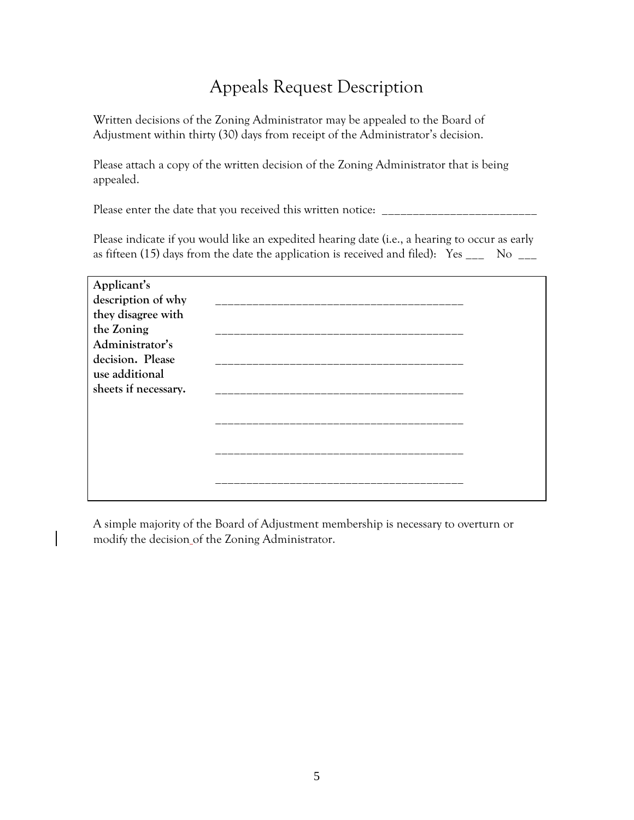## Appeals Request Description

Written decisions of the Zoning Administrator may be appealed to the Board of Adjustment within thirty (30) days from receipt of the Administrator's decision.

Please attach a copy of the written decision of the Zoning Administrator that is being appealed.

Please enter the date that you received this written notice: \_

Please indicate if you would like an expedited hearing date (i.e., a hearing to occur as early as fifteen (15) days from the date the application is received and filed):  $Yes \_\_\_\_$  No  $\_\_\_\_\_$ 

| Applicant's          |  |
|----------------------|--|
| description of why   |  |
| they disagree with   |  |
| the Zoning           |  |
| Administrator's      |  |
| decision. Please     |  |
| use additional       |  |
| sheets if necessary. |  |
|                      |  |
|                      |  |
|                      |  |
|                      |  |
|                      |  |
|                      |  |
|                      |  |

A simple majority of the Board of Adjustment membership is necessary to overturn or modify the decision of the Zoning Administrator.